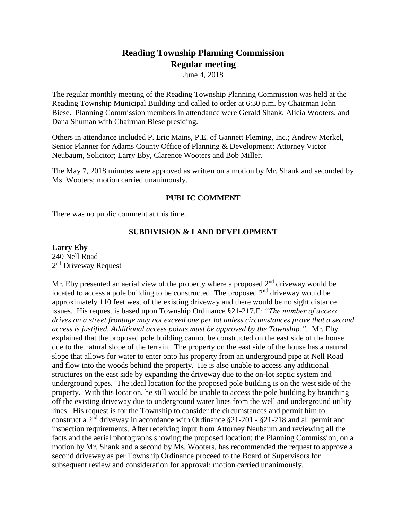# **Reading Township Planning Commission Regular meeting**

June 4, 2018

The regular monthly meeting of the Reading Township Planning Commission was held at the Reading Township Municipal Building and called to order at 6:30 p.m. by Chairman John Biese. Planning Commission members in attendance were Gerald Shank, Alicia Wooters, and Dana Shuman with Chairman Biese presiding.

Others in attendance included P. Eric Mains, P.E. of Gannett Fleming, Inc.; Andrew Merkel, Senior Planner for Adams County Office of Planning & Development; Attorney Victor Neubaum, Solicitor; Larry Eby, Clarence Wooters and Bob Miller.

The May 7, 2018 minutes were approved as written on a motion by Mr. Shank and seconded by Ms. Wooters; motion carried unanimously.

# **PUBLIC COMMENT**

There was no public comment at this time.

# **SUBDIVISION & LAND DEVELOPMENT**

# **Larry Eby** 240 Nell Road 2<sup>nd</sup> Driveway Request

Mr. Eby presented an aerial view of the property where a proposed  $2<sup>nd</sup>$  driveway would be located to access a pole building to be constructed. The proposed  $2<sup>nd</sup>$  driveway would be approximately 110 feet west of the existing driveway and there would be no sight distance issues. His request is based upon Township Ordinance §21-217.F: *"The number of access drives on a street frontage may not exceed one per lot unless circumstances prove that a second access is justified. Additional access points must be approved by the Township.".* Mr. Eby explained that the proposed pole building cannot be constructed on the east side of the house due to the natural slope of the terrain. The property on the east side of the house has a natural slope that allows for water to enter onto his property from an underground pipe at Nell Road and flow into the woods behind the property. He is also unable to access any additional structures on the east side by expanding the driveway due to the on-lot septic system and underground pipes. The ideal location for the proposed pole building is on the west side of the property. With this location, he still would be unable to access the pole building by branching off the existing driveway due to underground water lines from the well and underground utility lines. His request is for the Township to consider the circumstances and permit him to construct a 2nd driveway in accordance with Ordinance §21-201 - §21-218 and all permit and inspection requirements. After receiving input from Attorney Neubaum and reviewing all the facts and the aerial photographs showing the proposed location; the Planning Commission, on a motion by Mr. Shank and a second by Ms. Wooters, has recommended the request to approve a second driveway as per Township Ordinance proceed to the Board of Supervisors for subsequent review and consideration for approval; motion carried unanimously.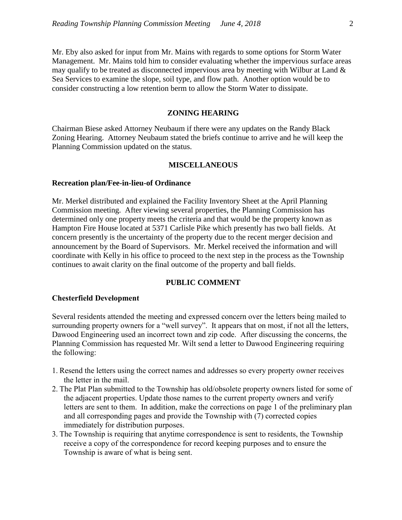Mr. Eby also asked for input from Mr. Mains with regards to some options for Storm Water Management. Mr. Mains told him to consider evaluating whether the impervious surface areas may qualify to be treated as disconnected impervious area by meeting with Wilbur at Land  $\&$ Sea Services to examine the slope, soil type, and flow path. Another option would be to consider constructing a low retention berm to allow the Storm Water to dissipate.

# **ZONING HEARING**

Chairman Biese asked Attorney Neubaum if there were any updates on the Randy Black Zoning Hearing. Attorney Neubaum stated the briefs continue to arrive and he will keep the Planning Commission updated on the status.

#### **MISCELLANEOUS**

#### **Recreation plan/Fee-in-lieu-of Ordinance**

Mr. Merkel distributed and explained the Facility Inventory Sheet at the April Planning Commission meeting. After viewing several properties, the Planning Commission has determined only one property meets the criteria and that would be the property known as Hampton Fire House located at 5371 Carlisle Pike which presently has two ball fields. At concern presently is the uncertainty of the property due to the recent merger decision and announcement by the Board of Supervisors. Mr. Merkel received the information and will coordinate with Kelly in his office to proceed to the next step in the process as the Township continues to await clarity on the final outcome of the property and ball fields.

## **PUBLIC COMMENT**

#### **Chesterfield Development**

Several residents attended the meeting and expressed concern over the letters being mailed to surrounding property owners for a "well survey". It appears that on most, if not all the letters, Dawood Engineering used an incorrect town and zip code. After discussing the concerns, the Planning Commission has requested Mr. Wilt send a letter to Dawood Engineering requiring the following:

- 1. Resend the letters using the correct names and addresses so every property owner receives the letter in the mail.
- 2. The Plat Plan submitted to the Township has old/obsolete property owners listed for some of the adjacent properties. Update those names to the current property owners and verify letters are sent to them. In addition, make the corrections on page 1 of the preliminary plan and all corresponding pages and provide the Township with (7) corrected copies immediately for distribution purposes.
- 3. The Township is requiring that anytime correspondence is sent to residents, the Township receive a copy of the correspondence for record keeping purposes and to ensure the Township is aware of what is being sent.